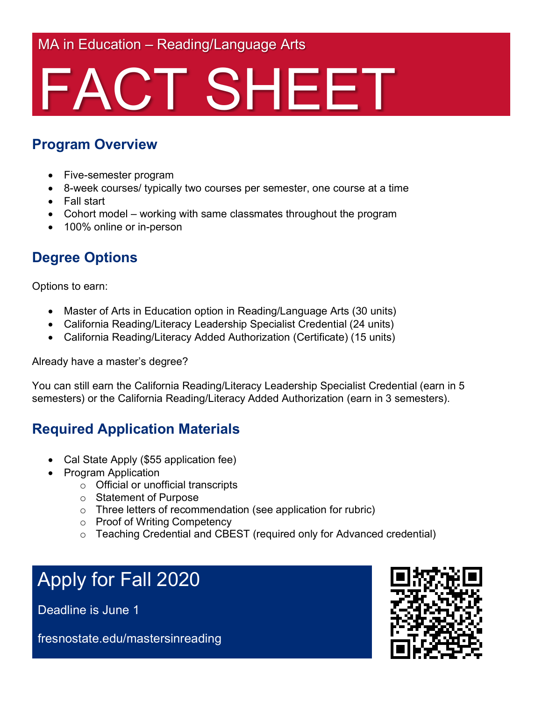MA in Education – Reading/Language Arts

## FACT SHEET

#### **Program Overview**

- Five-semester program
- 8-week courses/ typically two courses per semester, one course at a time
- Fall start
- Cohort model working with same classmates throughout the program
- 100% online or in-person

#### **Degree Options**

Options to earn:

- Master of Arts in Education option in Reading/Language Arts (30 units)
- California Reading/Literacy Leadership Specialist Credential (24 units)
- California Reading/Literacy Added Authorization (Certificate) (15 units)

Already have a master's degree?

You can still earn the California Reading/Literacy Leadership Specialist Credential (earn in 5 semesters) or the California Reading/Literacy Added Authorization (earn in 3 semesters).

#### **Required Application Materials**

- Cal State Apply (\$55 application fee)
- Program Application
	- o Official or unofficial transcripts
	- o Statement of Purpose
	- o Three letters of recommendation (see application for rubric)
	- o Proof of Writing Competency
	- o Teaching Credential and CBEST (required only for Advanced credential)

### Apply for Fall 2020

Deadline is June 1

fresnostate.edu/mastersinreading